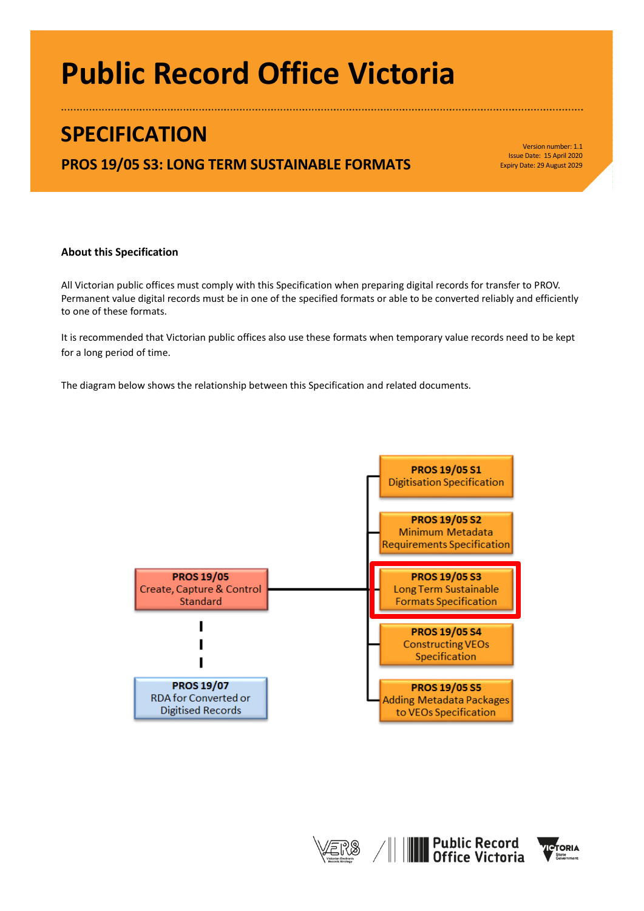# **Public Record Office Victoria**

# **SPECIFICATION**

#### **PROS 19/05 S3: LONG TERM SUSTAINABLE FORMATS**

Version number: 1.1 Issue Date: 15 April 2020 Expiry Date: 29 August 2029

#### **About this Specification**

All Victorian public offices must comply with this Specification when preparing digital records for transfer to PROV. Permanent value digital records must be in one of the specified formats or able to be converted reliably and efficiently to one of these formats.

It is recommended that Victorian public offices also use these formats when temporary value records need to be kept for a long period of time.

The diagram below shows the relationship between this Specification and related documents.





**WE Public Record**<br>**MEN** Office Victoria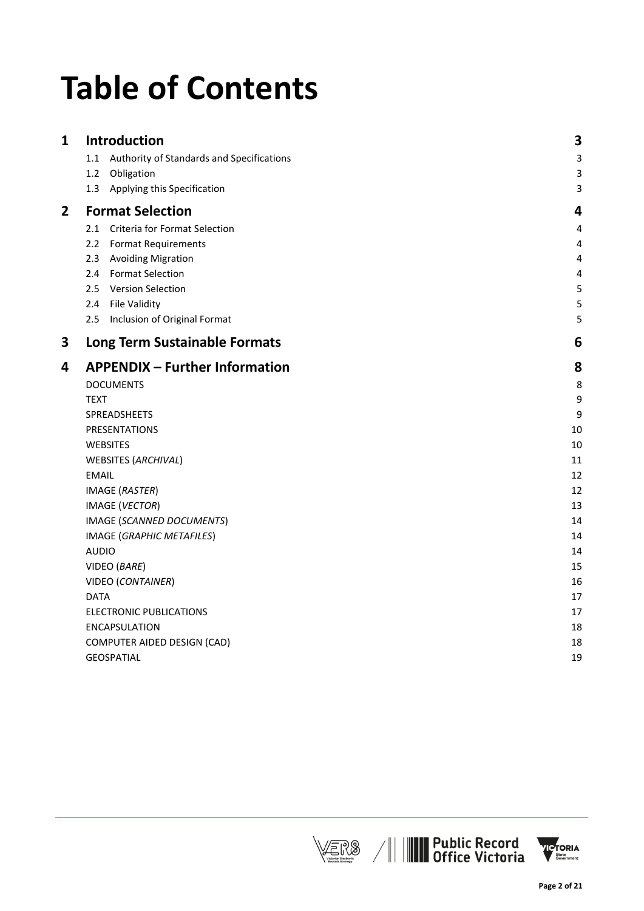# **Table of Contents**

| $\mathbf{1}$   | Introduction                                     | 3  |
|----------------|--------------------------------------------------|----|
|                | Authority of Standards and Specifications<br>1.1 | 3  |
|                | 1.2<br>Obligation                                | 3  |
|                | Applying this Specification<br>1.3               | 3  |
| $\overline{2}$ | <b>Format Selection</b>                          | 4  |
|                | 2.1 Criteria for Format Selection                | 4  |
|                | 2.2 Format Requirements                          | 4  |
|                | 2.3 Avoiding Migration                           | 4  |
|                | 2.4 Format Selection                             | 4  |
|                | 2.5 Version Selection                            | 5  |
|                | 2.4 File Validity                                | 5  |
|                | 2.5 Inclusion of Original Format                 | 5  |
| 3              | <b>Long Term Sustainable Formats</b>             | 6  |
| 4              | <b>APPENDIX - Further Information</b>            | 8  |
|                | <b>DOCUMENTS</b>                                 | 8  |
|                | <b>TEXT</b>                                      | g  |
|                | SPREADSHEETS                                     | g  |
|                | <b>PRESENTATIONS</b>                             | 10 |
|                | <b>WEBSITES</b>                                  | 10 |
|                | WEBSITES (ARCHIVAL)                              | 11 |
|                | <b>EMAIL</b>                                     | 12 |
|                | <b>IMAGE (RASTER)</b>                            | 12 |
|                | IMAGE (VECTOR)                                   | 13 |
|                | IMAGE (SCANNED DOCUMENTS)                        | 14 |
|                | IMAGE (GRAPHIC METAFILES)                        | 14 |
|                | <b>AUDIO</b>                                     | 14 |
|                | VIDEO (BARE)                                     | 15 |
|                | VIDEO (CONTAINER)                                | 16 |
|                | <b>DATA</b>                                      | 17 |
|                | ELECTRONIC PUBLICATIONS                          | 17 |
|                | <b>ENCAPSULATION</b>                             | 18 |
|                | COMPUTER AIDED DESIGN (CAD)                      | 18 |
|                | <b>GEOSPATIAL</b>                                | 19 |



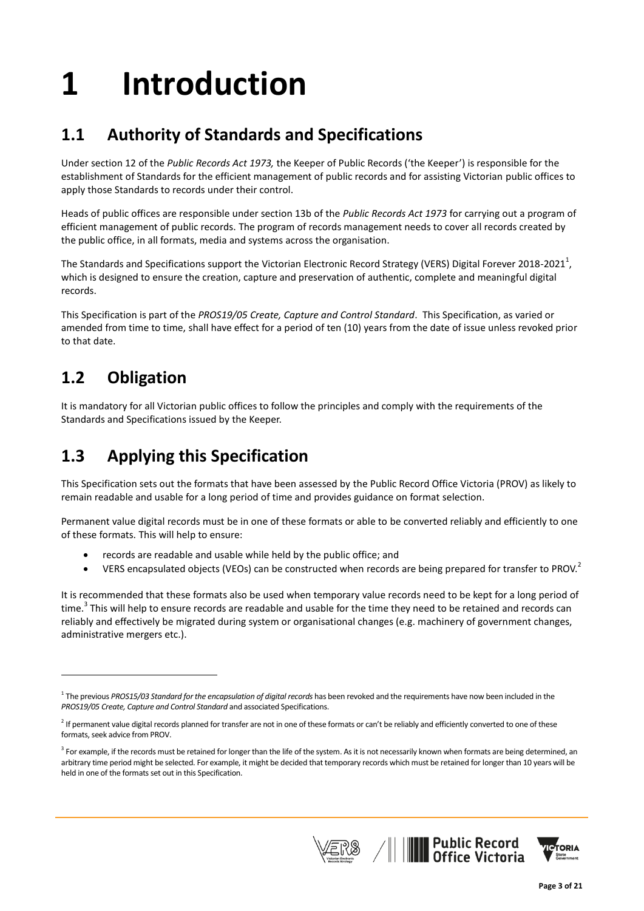# **1 Introduction**

# **1.1 Authority of Standards and Specifications**

Under section 12 of the *Public Records Act 1973,* the Keeper of Public Records ('the Keeper') is responsible for the establishment of Standards for the efficient management of public records and for assisting Victorian public offices to apply those Standards to records under their control.

Heads of public offices are responsible under section 13b of the *Public Records Act 1973* for carrying out a program of efficient management of public records. The program of records management needs to cover all records created by the public office, in all formats, media and systems across the organisation.

The Standards and Specifications support the Victorian Electronic Record Strategy (VERS) Digital Forever 2018-2021<sup>1</sup>, which is designed to ensure the creation, capture and preservation of authentic, complete and meaningful digital records.

This Specification is part of the *PROS19/05 Create, Capture and Control Standard*. This Specification, as varied or amended from time to time, shall have effect for a period of ten (10) years from the date of issue unless revoked prior to that date.

# **1.2 Obligation**

**.** 

It is mandatory for all Victorian public offices to follow the principles and comply with the requirements of the Standards and Specifications issued by the Keeper.

# **1.3 Applying this Specification**

This Specification sets out the formats that have been assessed by the Public Record Office Victoria (PROV) as likely to remain readable and usable for a long period of time and provides guidance on format selection.

Permanent value digital records must be in one of these formats or able to be converted reliably and efficiently to one of these formats. This will help to ensure:

- records are readable and usable while held by the public office; and
- VERS encapsulated objects (VEOs) can be constructed when records are being prepared for transfer to PROV.<sup>2</sup>

It is recommended that these formats also be used when temporary value records need to be kept for a long period of time.<sup>3</sup> This will help to ensure records are readable and usable for the time they need to be retained and records can reliably and effectively be migrated during system or organisational changes (e.g. machinery of government changes, administrative mergers etc.).







<sup>&</sup>lt;sup>1</sup> The previous PROS15/03 Standard for the encapsulation of digital records has been revoked and the requirements have now been included in the *PROS19/05 Create, Capture and Control Standard* and associated Specifications.

<sup>&</sup>lt;sup>2</sup> If permanent value digital records planned for transfer are not in one of these formats or can't be reliably and efficiently converted to one of these formats, seek advice from PROV.

 $3$  For example, if the records must be retained for longer than the life of the system. As it is not necessarily known when formats are being determined, an arbitrary time period might be selected. For example, it might be decided that temporary records which must be retained for longer than 10 years will be held in one of the formats set out in this Specification.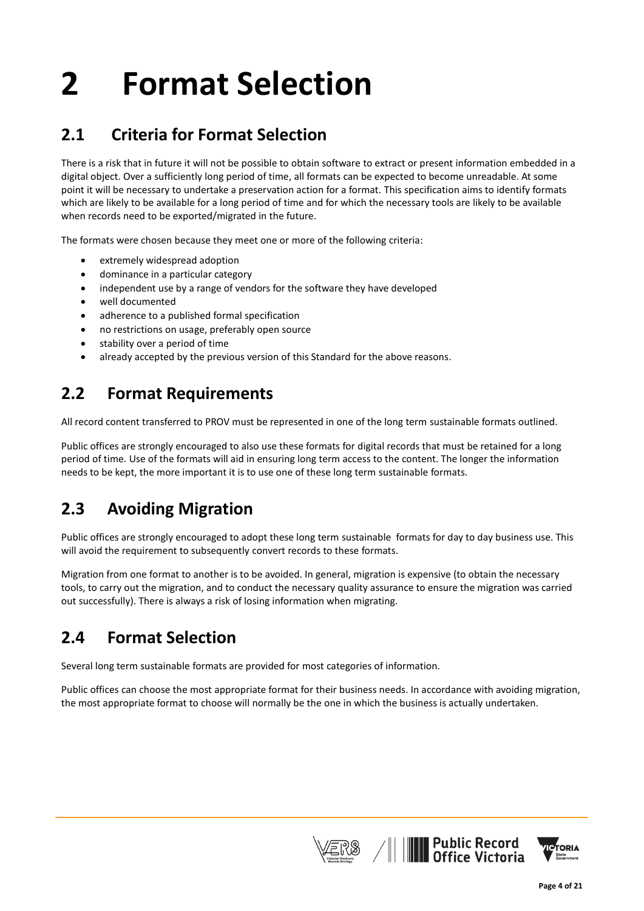# **2 Format Selection**

## **2.1 Criteria for Format Selection**

There is a risk that in future it will not be possible to obtain software to extract or present information embedded in a digital object. Over a sufficiently long period of time, all formats can be expected to become unreadable. At some point it will be necessary to undertake a preservation action for a format. This specification aims to identify formats which are likely to be available for a long period of time and for which the necessary tools are likely to be available when records need to be exported/migrated in the future.

The formats were chosen because they meet one or more of the following criteria:

- extremely widespread adoption
- dominance in a particular category
- independent use by a range of vendors for the software they have developed
- well documented
- adherence to a published formal specification
- no restrictions on usage, preferably open source
- stability over a period of time
- already accepted by the previous version of this Standard for the above reasons.

### **2.2 Format Requirements**

All record content transferred to PROV must be represented in one of the long term sustainable formats outlined.

Public offices are strongly encouraged to also use these formats for digital records that must be retained for a long period of time. Use of the formats will aid in ensuring long term access to the content. The longer the information needs to be kept, the more important it is to use one of these long term sustainable formats.

### **2.3 Avoiding Migration**

Public offices are strongly encouraged to adopt these long term sustainable formats for day to day business use. This will avoid the requirement to subsequently convert records to these formats.

Migration from one format to another is to be avoided. In general, migration is expensive (to obtain the necessary tools, to carry out the migration, and to conduct the necessary quality assurance to ensure the migration was carried out successfully). There is always a risk of losing information when migrating.

#### **2.4 Format Selection**

Several long term sustainable formats are provided for most categories of information.

Public offices can choose the most appropriate format for their business needs. In accordance with avoiding migration, the most appropriate format to choose will normally be the one in which the business is actually undertaken.



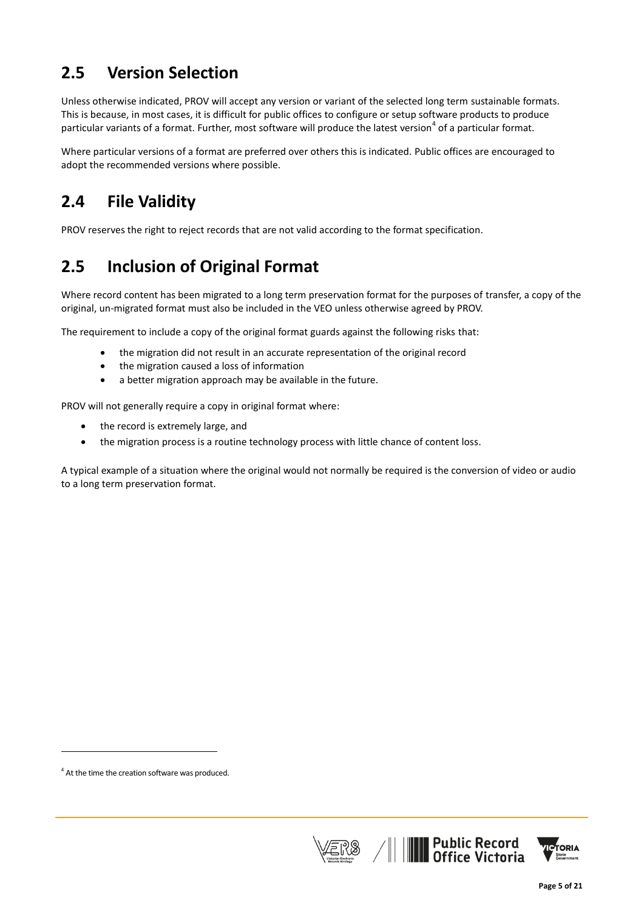## **2.5 Version Selection**

Unless otherwise indicated, PROV will accept any version or variant of the selected long term sustainable formats. This is because, in most cases, it is difficult for public offices to configure or setup software products to produce particular variants of a format. Further, most software will produce the latest version<sup>4</sup> of a particular format.

Where particular versions of a format are preferred over others this is indicated. Public offices are encouraged to adopt the recommended versions where possible.

## **2.4 File Validity**

PROV reserves the right to reject records that are not valid according to the format specification.

# **2.5 Inclusion of Original Format**

Where record content has been migrated to a long term preservation format for the purposes of transfer, a copy of the original, un-migrated format must also be included in the VEO unless otherwise agreed by PROV.

The requirement to include a copy of the original format guards against the following risks that:

- the migration did not result in an accurate representation of the original record
- the migration caused a loss of information
- a better migration approach may be available in the future.

PROV will not generally require a copy in original format where:

- the record is extremely large, and
- the migration process is a routine technology process with little chance of content loss.

A typical example of a situation where the original would not normally be required is the conversion of video or audio to a long term preservation format.

1



<sup>&</sup>lt;sup>4</sup> At the time the creation software was produced.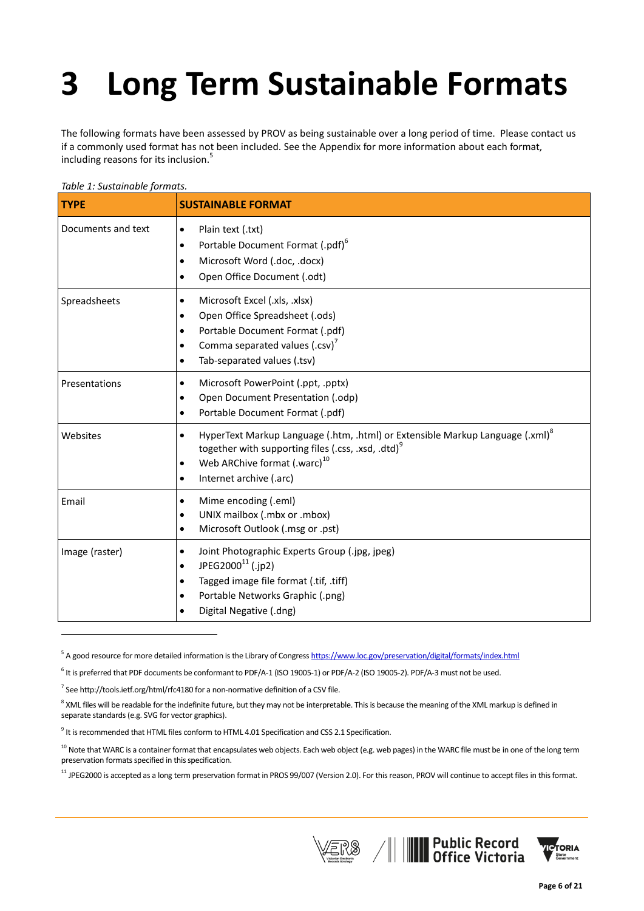# **3 Long Term Sustainable Formats**

The following formats have been assessed by PROV as being sustainable over a long period of time. Please contact us if a commonly used format has not been included. See the Appendix for more information about each format, including reasons for its inclusion.<sup>5</sup>

| <b>TYPE</b>        | <b>SUSTAINABLE FORMAT</b> |
|--------------------|---------------------------|
| Documents and text | Plain text (.txt)         |
|                    | Portable Document Fo      |
|                    | Microsoft Word (.doc,     |
|                    | Onen Office Documen       |

#### *Table 1: Sustainable formats.*

| Documents and text | Plain text (.txt)<br>Portable Document Format (.pdf) <sup>6</sup><br>$\bullet$<br>Microsoft Word (.doc, .docx)<br>Open Office Document (.odt)                                                                                                             |
|--------------------|-----------------------------------------------------------------------------------------------------------------------------------------------------------------------------------------------------------------------------------------------------------|
| Spreadsheets       | Microsoft Excel (.xls, .xlsx)<br>٠<br>Open Office Spreadsheet (.ods)<br>٠<br>Portable Document Format (.pdf)<br>Comma separated values (.csv) <sup>7</sup><br>$\bullet$<br>Tab-separated values (.tsv)<br>٠                                               |
| Presentations      | Microsoft PowerPoint (.ppt, .pptx)<br>$\bullet$<br>Open Document Presentation (.odp)<br>٠<br>Portable Document Format (.pdf)<br>$\bullet$                                                                                                                 |
| Websites           | HyperText Markup Language (.htm, .html) or Extensible Markup Language (.xml) <sup>8</sup><br>٠<br>together with supporting files (.css, .xsd, .dtd) <sup>9</sup><br>Web ARChive format (.warc) <sup>10</sup><br>٠<br>Internet archive (.arc)<br>$\bullet$ |
| Email              | Mime encoding (.eml)<br>٠<br>UNIX mailbox (.mbx or .mbox)<br>٠<br>Microsoft Outlook (.msg or .pst)<br>$\bullet$                                                                                                                                           |
| Image (raster)     | Joint Photographic Experts Group (.jpg, jpeg)<br>$\bullet$<br>JPEG2000 $^{11}$ (.jp2)<br>$\bullet$<br>Tagged image file format (.tif, .tiff)<br>$\bullet$<br>Portable Networks Graphic (.png)<br>Digital Negative (.dng)                                  |

<sup>5</sup> A good resource for more detailed information is the Library of Congres[s https://www.loc.gov/preservation/digital/formats/index.html](https://www.loc.gov/preservation/digital/formats/index.html)

<sup>6</sup> It is preferred that PDF documents be conformant to PDF/A-1 (ISO 19005-1) or PDF/A-2 (ISO 19005-2). PDF/A-3 must not be used.

 $^7$  Se[e http://tools.ietf.org/html/rfc4180](http://tools.ietf.org/html/rfc4180) for a non-normative definition of a CSV file.

**-**

<sup>8</sup> XML files will be readable for the indefinite future, but they may not be interpretable. This is because the meaning of the XML markup is defined in separate standards (e.g. SVG for vector graphics).

<sup>9</sup> It is recommended that HTML files conform to HTML 4.01 Specification and CSS 2.1 Specification.

<sup>10</sup> Note that WARC is a container format that encapsulates web objects. Each web object (e.g. web pages) in the WARC file must be in one of the long term preservation formats specified in this specification.

 $11$  JPEG2000 is accepted as a long term preservation format in PROS 99/007 (Version 2.0). For this reason, PROV will continue to accept files in this format.



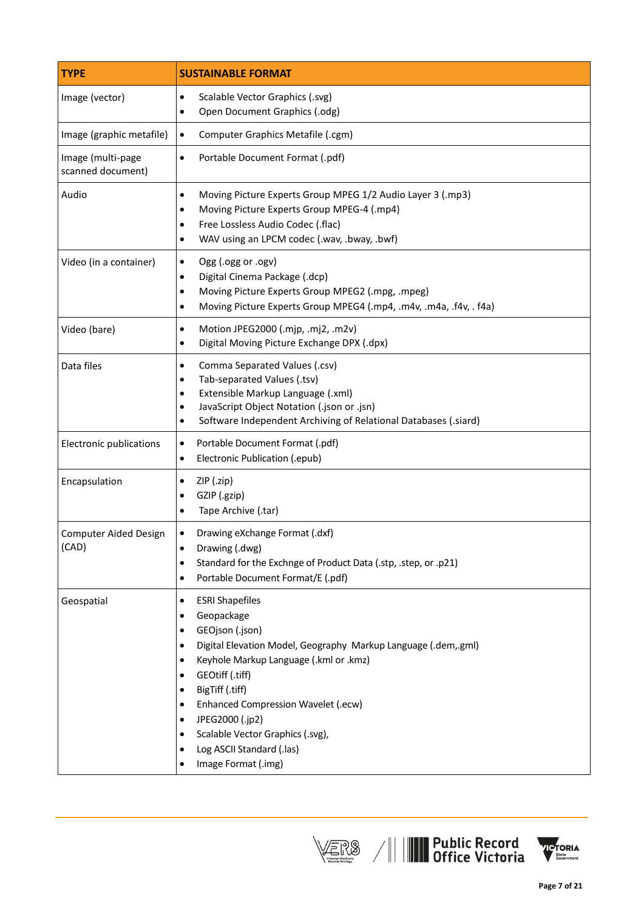| <b>TYPE</b>                            | <b>SUSTAINABLE FORMAT</b>                                                                                                                                                                                                                                                                                                                                                                                                                                                                                               |  |
|----------------------------------------|-------------------------------------------------------------------------------------------------------------------------------------------------------------------------------------------------------------------------------------------------------------------------------------------------------------------------------------------------------------------------------------------------------------------------------------------------------------------------------------------------------------------------|--|
| Image (vector)                         | Scalable Vector Graphics (.svg)<br>$\bullet$<br>Open Document Graphics (.odg)<br>$\bullet$                                                                                                                                                                                                                                                                                                                                                                                                                              |  |
| Image (graphic metafile)               | Computer Graphics Metafile (.cgm)<br>$\bullet$                                                                                                                                                                                                                                                                                                                                                                                                                                                                          |  |
| Image (multi-page<br>scanned document) | Portable Document Format (.pdf)<br>$\bullet$                                                                                                                                                                                                                                                                                                                                                                                                                                                                            |  |
| Audio                                  | Moving Picture Experts Group MPEG 1/2 Audio Layer 3 (.mp3)<br>$\bullet$<br>Moving Picture Experts Group MPEG-4 (.mp4)<br>٠<br>Free Lossless Audio Codec (.flac)<br>$\bullet$<br>WAV using an LPCM codec (.wav, .bway, .bwf)<br>$\bullet$                                                                                                                                                                                                                                                                                |  |
| Video (in a container)                 | Ogg (.ogg or .ogv)<br>$\bullet$<br>Digital Cinema Package (.dcp)<br>$\bullet$<br>Moving Picture Experts Group MPEG2 (.mpg, .mpeg)<br>$\bullet$<br>Moving Picture Experts Group MPEG4 (.mp4, .m4v, .m4a, .f4v, . f4a)<br>$\bullet$                                                                                                                                                                                                                                                                                       |  |
| Video (bare)                           | Motion JPEG2000 (.mjp, .mj2, .m2v)<br>$\bullet$<br>Digital Moving Picture Exchange DPX (.dpx)<br>$\bullet$                                                                                                                                                                                                                                                                                                                                                                                                              |  |
| Data files                             | Comma Separated Values (.csv)<br>٠<br>Tab-separated Values (.tsv)<br>$\bullet$<br>Extensible Markup Language (.xml)<br>٠<br>JavaScript Object Notation (.json or .jsn)<br>$\bullet$<br>Software Independent Archiving of Relational Databases (.siard)<br>$\bullet$                                                                                                                                                                                                                                                     |  |
| Electronic publications                | Portable Document Format (.pdf)<br>٠<br>Electronic Publication (.epub)<br>$\bullet$                                                                                                                                                                                                                                                                                                                                                                                                                                     |  |
| Encapsulation                          | ZIP (.zip)<br>٠<br>GZIP (.gzip)<br>٠<br>Tape Archive (.tar)<br>$\bullet$                                                                                                                                                                                                                                                                                                                                                                                                                                                |  |
| <b>Computer Aided Design</b><br>(CAD)  | Drawing eXchange Format (.dxf)<br>٠<br>Drawing (.dwg)<br>٠<br>Standard for the Exchnge of Product Data (.stp, .step, or .p21)<br>$\bullet$<br>Portable Document Format/E (.pdf)<br>$\bullet$                                                                                                                                                                                                                                                                                                                            |  |
| Geospatial                             | <b>ESRI Shapefiles</b><br>$\bullet$<br>Geopackage<br>$\bullet$<br>GEOjson (.json)<br>$\bullet$<br>Digital Elevation Model, Geography Markup Language (.dem,.gml)<br>$\bullet$<br>Keyhole Markup Language (.kml or .kmz)<br>$\bullet$<br>GEOtiff (.tiff)<br>$\bullet$<br>BigTiff (.tiff)<br>$\bullet$<br>Enhanced Compression Wavelet (.ecw)<br>$\bullet$<br>JPEG2000 (.jp2)<br>$\bullet$<br>Scalable Vector Graphics (.svg),<br>$\bullet$<br>Log ASCII Standard (.las)<br>$\bullet$<br>Image Format (.img)<br>$\bullet$ |  |



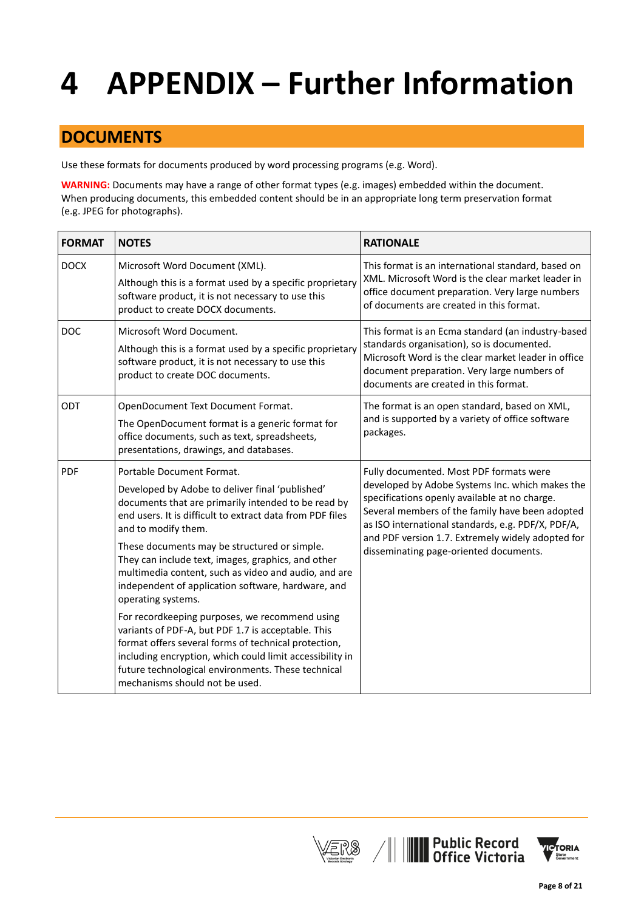# **4 APPENDIX – Further Information**

#### **DOCUMENTS**

Use these formats for documents produced by word processing programs (e.g. Word).

**WARNING:** Documents may have a range of other format types (e.g. images) embedded within the document. When producing documents, this embedded content should be in an appropriate long term preservation format (e.g. JPEG for photographs).

| <b>FORMAT</b> | <b>NOTES</b>                                                                                                                                                                                                                                                                                                                                                                                                                                                                                                                                                                                                                                                                                                                                                                          | <b>RATIONALE</b>                                                                                                                                                                                                                                                                                                                                    |
|---------------|---------------------------------------------------------------------------------------------------------------------------------------------------------------------------------------------------------------------------------------------------------------------------------------------------------------------------------------------------------------------------------------------------------------------------------------------------------------------------------------------------------------------------------------------------------------------------------------------------------------------------------------------------------------------------------------------------------------------------------------------------------------------------------------|-----------------------------------------------------------------------------------------------------------------------------------------------------------------------------------------------------------------------------------------------------------------------------------------------------------------------------------------------------|
| <b>DOCX</b>   | Microsoft Word Document (XML).<br>Although this is a format used by a specific proprietary<br>software product, it is not necessary to use this<br>product to create DOCX documents.                                                                                                                                                                                                                                                                                                                                                                                                                                                                                                                                                                                                  | This format is an international standard, based on<br>XML. Microsoft Word is the clear market leader in<br>office document preparation. Very large numbers<br>of documents are created in this format.                                                                                                                                              |
| <b>DOC</b>    | Microsoft Word Document.<br>Although this is a format used by a specific proprietary<br>software product, it is not necessary to use this<br>product to create DOC documents.                                                                                                                                                                                                                                                                                                                                                                                                                                                                                                                                                                                                         | This format is an Ecma standard (an industry-based<br>standards organisation), so is documented.<br>Microsoft Word is the clear market leader in office<br>document preparation. Very large numbers of<br>documents are created in this format.                                                                                                     |
| ODT           | OpenDocument Text Document Format.<br>The OpenDocument format is a generic format for<br>office documents, such as text, spreadsheets,<br>presentations, drawings, and databases.                                                                                                                                                                                                                                                                                                                                                                                                                                                                                                                                                                                                     | The format is an open standard, based on XML,<br>and is supported by a variety of office software<br>packages.                                                                                                                                                                                                                                      |
| <b>PDF</b>    | Portable Document Format.<br>Developed by Adobe to deliver final 'published'<br>documents that are primarily intended to be read by<br>end users. It is difficult to extract data from PDF files<br>and to modify them.<br>These documents may be structured or simple.<br>They can include text, images, graphics, and other<br>multimedia content, such as video and audio, and are<br>independent of application software, hardware, and<br>operating systems.<br>For recordkeeping purposes, we recommend using<br>variants of PDF-A, but PDF 1.7 is acceptable. This<br>format offers several forms of technical protection,<br>including encryption, which could limit accessibility in<br>future technological environments. These technical<br>mechanisms should not be used. | Fully documented. Most PDF formats were<br>developed by Adobe Systems Inc. which makes the<br>specifications openly available at no charge.<br>Several members of the family have been adopted<br>as ISO international standards, e.g. PDF/X, PDF/A,<br>and PDF version 1.7. Extremely widely adopted for<br>disseminating page-oriented documents. |



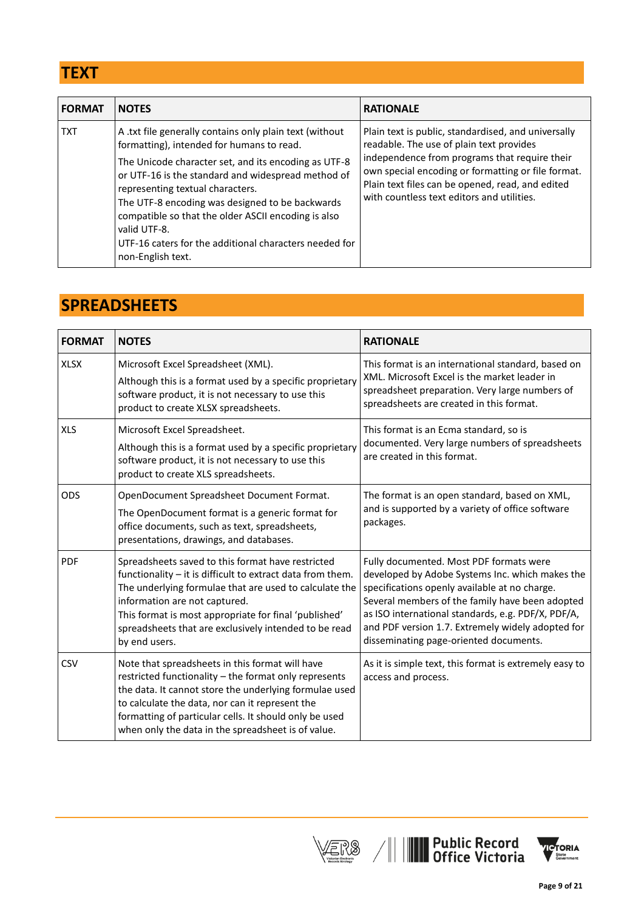# **TEXT**

| <b>FORMAT</b> | <b>NOTES</b>                                                                                                                                                                                                                                                                                                                                                                                                                                                   | <b>RATIONALE</b>                                                                                                                                                                                                                                                                                         |
|---------------|----------------------------------------------------------------------------------------------------------------------------------------------------------------------------------------------------------------------------------------------------------------------------------------------------------------------------------------------------------------------------------------------------------------------------------------------------------------|----------------------------------------------------------------------------------------------------------------------------------------------------------------------------------------------------------------------------------------------------------------------------------------------------------|
| <b>TXT</b>    | A txt file generally contains only plain text (without<br>formatting), intended for humans to read.<br>The Unicode character set, and its encoding as UTF-8<br>or UTF-16 is the standard and widespread method of<br>representing textual characters.<br>The UTF-8 encoding was designed to be backwards<br>compatible so that the older ASCII encoding is also<br>valid UTF-8.<br>UTF-16 caters for the additional characters needed for<br>non-English text. | Plain text is public, standardised, and universally<br>readable. The use of plain text provides<br>independence from programs that require their<br>own special encoding or formatting or file format.<br>Plain text files can be opened, read, and edited<br>with countless text editors and utilities. |

# **SPREADSHEETS**

| <b>FORMAT</b> | <b>NOTES</b>                                                                                                                                                                                                                                                                                                                                  | <b>RATIONALE</b>                                                                                                                                                                                                                                                                                                                                    |
|---------------|-----------------------------------------------------------------------------------------------------------------------------------------------------------------------------------------------------------------------------------------------------------------------------------------------------------------------------------------------|-----------------------------------------------------------------------------------------------------------------------------------------------------------------------------------------------------------------------------------------------------------------------------------------------------------------------------------------------------|
| <b>XLSX</b>   | Microsoft Excel Spreadsheet (XML).<br>Although this is a format used by a specific proprietary<br>software product, it is not necessary to use this<br>product to create XLSX spreadsheets.                                                                                                                                                   | This format is an international standard, based on<br>XML. Microsoft Excel is the market leader in<br>spreadsheet preparation. Very large numbers of<br>spreadsheets are created in this format.                                                                                                                                                    |
| <b>XLS</b>    | Microsoft Excel Spreadsheet.<br>Although this is a format used by a specific proprietary<br>software product, it is not necessary to use this<br>product to create XLS spreadsheets.                                                                                                                                                          | This format is an Ecma standard, so is<br>documented. Very large numbers of spreadsheets<br>are created in this format.                                                                                                                                                                                                                             |
| <b>ODS</b>    | OpenDocument Spreadsheet Document Format.<br>The OpenDocument format is a generic format for<br>office documents, such as text, spreadsheets,<br>presentations, drawings, and databases.                                                                                                                                                      | The format is an open standard, based on XML,<br>and is supported by a variety of office software<br>packages.                                                                                                                                                                                                                                      |
| <b>PDF</b>    | Spreadsheets saved to this format have restricted<br>functionality - it is difficult to extract data from them.<br>The underlying formulae that are used to calculate the<br>information are not captured.<br>This format is most appropriate for final 'published'<br>spreadsheets that are exclusively intended to be read<br>by end users. | Fully documented. Most PDF formats were<br>developed by Adobe Systems Inc. which makes the<br>specifications openly available at no charge.<br>Several members of the family have been adopted<br>as ISO international standards, e.g. PDF/X, PDF/A,<br>and PDF version 1.7. Extremely widely adopted for<br>disseminating page-oriented documents. |
| CSV           | Note that spreadsheets in this format will have<br>restricted functionality - the format only represents<br>the data. It cannot store the underlying formulae used<br>to calculate the data, nor can it represent the<br>formatting of particular cells. It should only be used<br>when only the data in the spreadsheet is of value.         | As it is simple text, this format is extremely easy to<br>access and process.                                                                                                                                                                                                                                                                       |



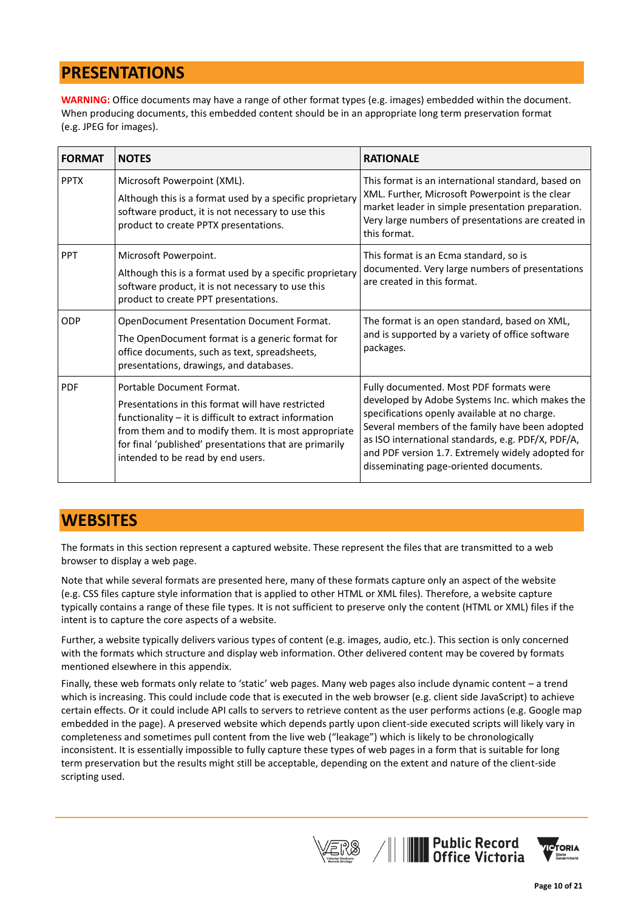#### **PRESENTATIONS**

**WARNING:** Office documents may have a range of other format types (e.g. images) embedded within the document. When producing documents, this embedded content should be in an appropriate long term preservation format (e.g. JPEG for images).

| <b>FORMAT</b> | <b>NOTES</b>                                                                                                                                                                                                                                                                                      | <b>RATIONALE</b>                                                                                                                                                                                                                                                                                                                                    |
|---------------|---------------------------------------------------------------------------------------------------------------------------------------------------------------------------------------------------------------------------------------------------------------------------------------------------|-----------------------------------------------------------------------------------------------------------------------------------------------------------------------------------------------------------------------------------------------------------------------------------------------------------------------------------------------------|
| <b>PPTX</b>   | Microsoft Powerpoint (XML).<br>Although this is a format used by a specific proprietary<br>software product, it is not necessary to use this<br>product to create PPTX presentations.                                                                                                             | This format is an international standard, based on<br>XML. Further, Microsoft Powerpoint is the clear<br>market leader in simple presentation preparation.<br>Very large numbers of presentations are created in<br>this format.                                                                                                                    |
| <b>PPT</b>    | Microsoft Powerpoint.<br>Although this is a format used by a specific proprietary<br>software product, it is not necessary to use this<br>product to create PPT presentations.                                                                                                                    | This format is an Ecma standard, so is<br>documented. Very large numbers of presentations<br>are created in this format.                                                                                                                                                                                                                            |
| ODP           | OpenDocument Presentation Document Format.<br>The OpenDocument format is a generic format for<br>office documents, such as text, spreadsheets,<br>presentations, drawings, and databases.                                                                                                         | The format is an open standard, based on XML,<br>and is supported by a variety of office software<br>packages.                                                                                                                                                                                                                                      |
| <b>PDF</b>    | Portable Document Format.<br>Presentations in this format will have restricted<br>functionality $-$ it is difficult to extract information<br>from them and to modify them. It is most appropriate<br>for final 'published' presentations that are primarily<br>intended to be read by end users. | Fully documented. Most PDF formats were<br>developed by Adobe Systems Inc. which makes the<br>specifications openly available at no charge.<br>Several members of the family have been adopted<br>as ISO international standards, e.g. PDF/X, PDF/A,<br>and PDF version 1.7. Extremely widely adopted for<br>disseminating page-oriented documents. |

#### **WEBSITES**

The formats in this section represent a captured website. These represent the files that are transmitted to a web browser to display a web page.

Note that while several formats are presented here, many of these formats capture only an aspect of the website (e.g. CSS files capture style information that is applied to other HTML or XML files). Therefore, a website capture typically contains a range of these file types. It is not sufficient to preserve only the content (HTML or XML) files if the intent is to capture the core aspects of a website.

Further, a website typically delivers various types of content (e.g. images, audio, etc.). This section is only concerned with the formats which structure and display web information. Other delivered content may be covered by formats mentioned elsewhere in this appendix.

Finally, these web formats only relate to 'static' web pages. Many web pages also include dynamic content – a trend which is increasing. This could include code that is executed in the web browser (e.g. client side JavaScript) to achieve certain effects. Or it could include API calls to servers to retrieve content as the user performs actions (e.g. Google map embedded in the page). A preserved website which depends partly upon client-side executed scripts will likely vary in completeness and sometimes pull content from the live web ("leakage") which is likely to be chronologically inconsistent. It is essentially impossible to fully capture these types of web pages in a form that is suitable for long term preservation but the results might still be acceptable, depending on the extent and nature of the client-side scripting used.



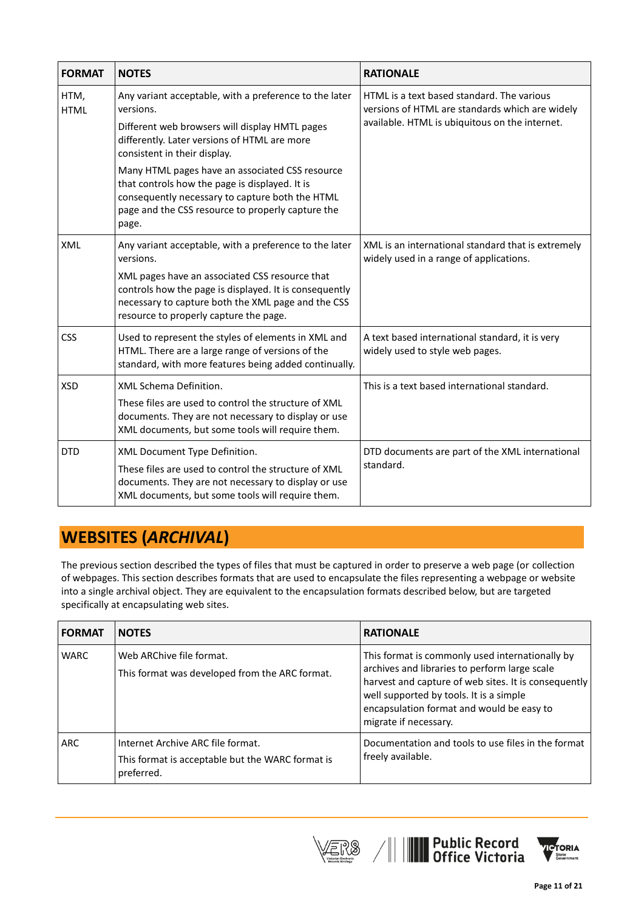| <b>FORMAT</b>       | <b>NOTES</b>                                                                                                                                                                                                       | <b>RATIONALE</b>                                                                                                                                |
|---------------------|--------------------------------------------------------------------------------------------------------------------------------------------------------------------------------------------------------------------|-------------------------------------------------------------------------------------------------------------------------------------------------|
| HTM,<br><b>HTML</b> | Any variant acceptable, with a preference to the later<br>versions.                                                                                                                                                | HTML is a text based standard. The various<br>versions of HTML are standards which are widely<br>available. HTML is ubiquitous on the internet. |
|                     | Different web browsers will display HMTL pages<br>differently. Later versions of HTML are more<br>consistent in their display.                                                                                     |                                                                                                                                                 |
|                     | Many HTML pages have an associated CSS resource<br>that controls how the page is displayed. It is<br>consequently necessary to capture both the HTML<br>page and the CSS resource to properly capture the<br>page. |                                                                                                                                                 |
| <b>XML</b>          | Any variant acceptable, with a preference to the later<br>versions.                                                                                                                                                | XML is an international standard that is extremely<br>widely used in a range of applications.                                                   |
|                     | XML pages have an associated CSS resource that<br>controls how the page is displayed. It is consequently<br>necessary to capture both the XML page and the CSS<br>resource to properly capture the page.           |                                                                                                                                                 |
| <b>CSS</b>          | Used to represent the styles of elements in XML and<br>HTML. There are a large range of versions of the<br>standard, with more features being added continually.                                                   | A text based international standard, it is very<br>widely used to style web pages.                                                              |
| <b>XSD</b>          | XML Schema Definition.                                                                                                                                                                                             | This is a text based international standard.                                                                                                    |
|                     | These files are used to control the structure of XML<br>documents. They are not necessary to display or use<br>XML documents, but some tools will require them.                                                    |                                                                                                                                                 |
| <b>DTD</b>          | XML Document Type Definition.<br>These files are used to control the structure of XML<br>documents. They are not necessary to display or use<br>XML documents, but some tools will require them.                   | DTD documents are part of the XML international<br>standard.                                                                                    |

# **WEBSITES (***ARCHIVAL***)**

The previous section described the types of files that must be captured in order to preserve a web page (or collection of webpages. This section describes formats that are used to encapsulate the files representing a webpage or website into a single archival object. They are equivalent to the encapsulation formats described below, but are targeted specifically at encapsulating web sites.

| <b>FORMAT</b> | <b>NOTES</b>                                                                                        | <b>RATIONALE</b>                                                                                                                                                                                                                                                          |
|---------------|-----------------------------------------------------------------------------------------------------|---------------------------------------------------------------------------------------------------------------------------------------------------------------------------------------------------------------------------------------------------------------------------|
| <b>WARC</b>   | Web ARChive file format.<br>This format was developed from the ARC format.                          | This format is commonly used internationally by<br>archives and libraries to perform large scale<br>harvest and capture of web sites. It is consequently<br>well supported by tools. It is a simple<br>encapsulation format and would be easy to<br>migrate if necessary. |
| ARC           | Internet Archive ARC file format.<br>This format is acceptable but the WARC format is<br>preferred. | Documentation and tools to use files in the format<br>freely available.                                                                                                                                                                                                   |



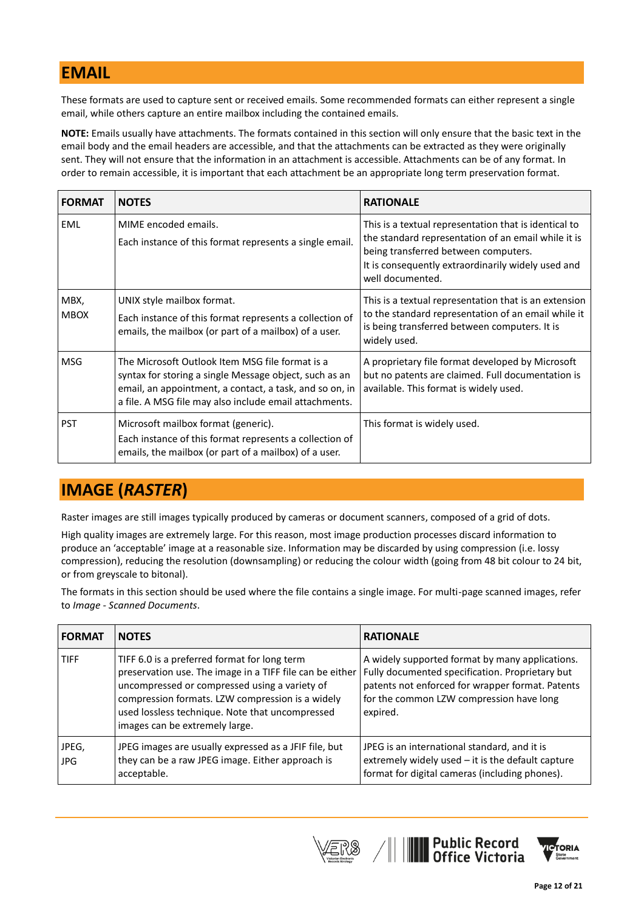#### **EMAIL**

These formats are used to capture sent or received emails. Some recommended formats can either represent a single email, while others capture an entire mailbox including the contained emails.

**NOTE:** Emails usually have attachments. The formats contained in this section will only ensure that the basic text in the email body and the email headers are accessible, and that the attachments can be extracted as they were originally sent. They will not ensure that the information in an attachment is accessible. Attachments can be of any format. In order to remain accessible, it is important that each attachment be an appropriate long term preservation format.

| <b>FORMAT</b>       | <b>NOTES</b>                                                                                                                                                                                                                   | <b>RATIONALE</b>                                                                                                                                                                                                               |
|---------------------|--------------------------------------------------------------------------------------------------------------------------------------------------------------------------------------------------------------------------------|--------------------------------------------------------------------------------------------------------------------------------------------------------------------------------------------------------------------------------|
| EML                 | MIME encoded emails.<br>Each instance of this format represents a single email.                                                                                                                                                | This is a textual representation that is identical to<br>the standard representation of an email while it is<br>being transferred between computers.<br>It is consequently extraordinarily widely used and<br>well documented. |
| MBX,<br><b>MBOX</b> | UNIX style mailbox format.<br>Each instance of this format represents a collection of<br>emails, the mailbox (or part of a mailbox) of a user.                                                                                 | This is a textual representation that is an extension<br>to the standard representation of an email while it<br>is being transferred between computers. It is<br>widely used.                                                  |
| <b>MSG</b>          | The Microsoft Outlook Item MSG file format is a<br>syntax for storing a single Message object, such as an<br>email, an appointment, a contact, a task, and so on, in<br>a file. A MSG file may also include email attachments. | A proprietary file format developed by Microsoft<br>but no patents are claimed. Full documentation is<br>available. This format is widely used.                                                                                |
| <b>PST</b>          | Microsoft mailbox format (generic).<br>Each instance of this format represents a collection of<br>emails, the mailbox (or part of a mailbox) of a user.                                                                        | This format is widely used.                                                                                                                                                                                                    |

#### **IMAGE (***RASTER***)**

Raster images are still images typically produced by cameras or document scanners, composed of a grid of dots.

High quality images are extremely large. For this reason, most image production processes discard information to produce an 'acceptable' image at a reasonable size. Information may be discarded by using compression (i.e. lossy compression), reducing the resolution (downsampling) or reducing the colour width (going from 48 bit colour to 24 bit, or from greyscale to bitonal).

The formats in this section should be used where the file contains a single image. For multi-page scanned images, refer to *Image - Scanned Documents*.

| <b>FORMAT</b>       | <b>NOTES</b>                                                                                                                                                                                                                                                                                       | <b>RATIONALE</b>                                                                                                                                                                                               |
|---------------------|----------------------------------------------------------------------------------------------------------------------------------------------------------------------------------------------------------------------------------------------------------------------------------------------------|----------------------------------------------------------------------------------------------------------------------------------------------------------------------------------------------------------------|
| <b>TIFF</b>         | TIFF 6.0 is a preferred format for long term<br>preservation use. The image in a TIFF file can be either<br>uncompressed or compressed using a variety of<br>compression formats. LZW compression is a widely<br>used lossless technique. Note that uncompressed<br>images can be extremely large. | A widely supported format by many applications.<br>Fully documented specification. Proprietary but<br>patents not enforced for wrapper format. Patents<br>for the common LZW compression have long<br>expired. |
| JPEG,<br><b>JPG</b> | JPEG images are usually expressed as a JFIF file, but<br>they can be a raw JPEG image. Either approach is<br>acceptable.                                                                                                                                                                           | JPEG is an international standard, and it is<br>extremely widely used $-$ it is the default capture<br>format for digital cameras (including phones).                                                          |





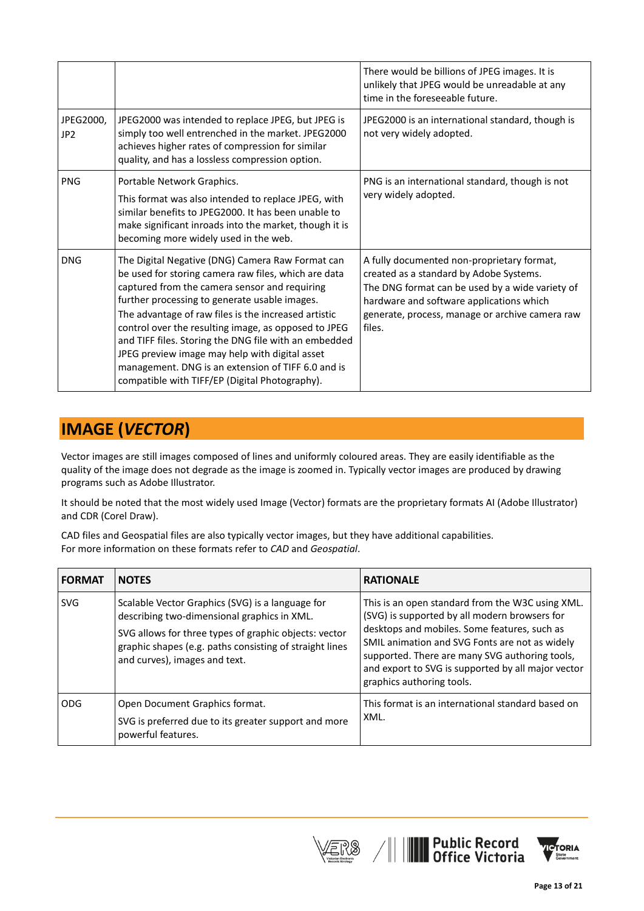|                              |                                                                                                                                                                                                                                                                                                                                                                                                                                                                                                                                               | There would be billions of JPEG images. It is<br>unlikely that JPEG would be unreadable at any<br>time in the foreseeable future.                                                                                                                 |
|------------------------------|-----------------------------------------------------------------------------------------------------------------------------------------------------------------------------------------------------------------------------------------------------------------------------------------------------------------------------------------------------------------------------------------------------------------------------------------------------------------------------------------------------------------------------------------------|---------------------------------------------------------------------------------------------------------------------------------------------------------------------------------------------------------------------------------------------------|
| JPEG2000,<br>JP <sub>2</sub> | JPEG2000 was intended to replace JPEG, but JPEG is<br>simply too well entrenched in the market. JPEG2000<br>achieves higher rates of compression for similar<br>quality, and has a lossless compression option.                                                                                                                                                                                                                                                                                                                               | JPEG2000 is an international standard, though is<br>not very widely adopted.                                                                                                                                                                      |
| <b>PNG</b>                   | Portable Network Graphics.<br>This format was also intended to replace JPEG, with<br>similar benefits to JPEG2000. It has been unable to<br>make significant inroads into the market, though it is<br>becoming more widely used in the web.                                                                                                                                                                                                                                                                                                   | PNG is an international standard, though is not<br>very widely adopted.                                                                                                                                                                           |
| <b>DNG</b>                   | The Digital Negative (DNG) Camera Raw Format can<br>be used for storing camera raw files, which are data<br>captured from the camera sensor and requiring<br>further processing to generate usable images.<br>The advantage of raw files is the increased artistic<br>control over the resulting image, as opposed to JPEG<br>and TIFF files. Storing the DNG file with an embedded<br>JPEG preview image may help with digital asset<br>management. DNG is an extension of TIFF 6.0 and is<br>compatible with TIFF/EP (Digital Photography). | A fully documented non-proprietary format,<br>created as a standard by Adobe Systems.<br>The DNG format can be used by a wide variety of<br>hardware and software applications which<br>generate, process, manage or archive camera raw<br>files. |

### **IMAGE (***VECTOR***)**

Vector images are still images composed of lines and uniformly coloured areas. They are easily identifiable as the quality of the image does not degrade as the image is zoomed in. Typically vector images are produced by drawing programs such as Adobe Illustrator.

It should be noted that the most widely used Image (Vector) formats are the proprietary formats AI (Adobe Illustrator) and CDR (Corel Draw).

CAD files and Geospatial files are also typically vector images, but they have additional capabilities. For more information on these formats refer to *CAD* and *Geospatial*.

| <b>FORMAT</b> | <b>NOTES</b>                                                                                                                                                                                                                                         | <b>RATIONALE</b>                                                                                                                                                                                                                                                                                                                         |
|---------------|------------------------------------------------------------------------------------------------------------------------------------------------------------------------------------------------------------------------------------------------------|------------------------------------------------------------------------------------------------------------------------------------------------------------------------------------------------------------------------------------------------------------------------------------------------------------------------------------------|
| <b>SVG</b>    | Scalable Vector Graphics (SVG) is a language for<br>describing two-dimensional graphics in XML.<br>SVG allows for three types of graphic objects: vector<br>graphic shapes (e.g. paths consisting of straight lines<br>and curves), images and text. | This is an open standard from the W3C using XML.<br>(SVG) is supported by all modern browsers for<br>desktops and mobiles. Some features, such as<br>SMIL animation and SVG Fonts are not as widely<br>supported. There are many SVG authoring tools,<br>and export to SVG is supported by all major vector<br>graphics authoring tools. |
| <b>ODG</b>    | Open Document Graphics format.<br>SVG is preferred due to its greater support and more<br>powerful features.                                                                                                                                         | This format is an international standard based on<br>XML.                                                                                                                                                                                                                                                                                |



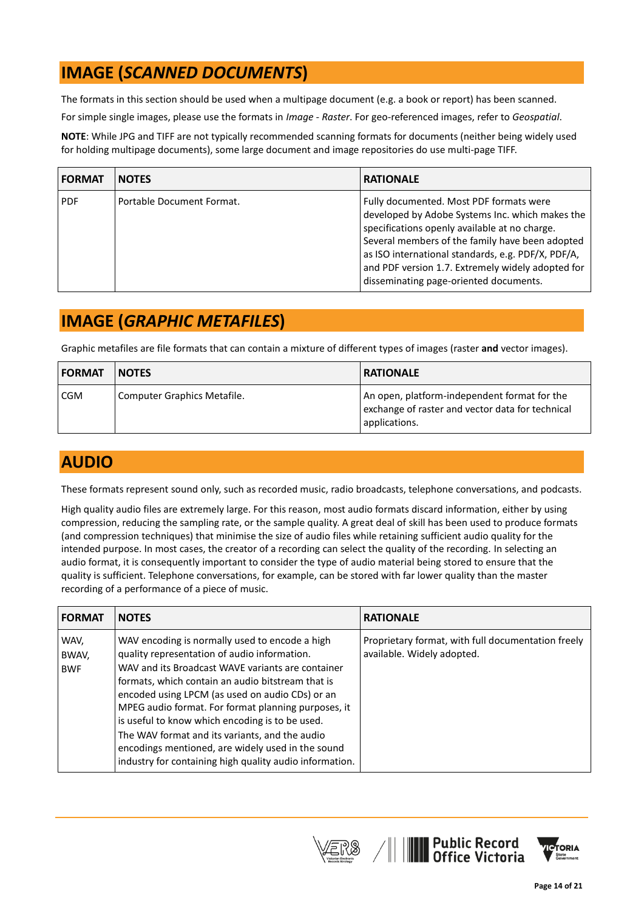### **IMAGE (***SCANNED DOCUMENTS***)**

The formats in this section should be used when a multipage document (e.g. a book or report) has been scanned.

For simple single images, please use the formats in *Image - Raster*. For geo-referenced images, refer to *Geospatial*.

**NOTE**: While JPG and TIFF are not typically recommended scanning formats for documents (neither being widely used for holding multipage documents), some large document and image repositories do use multi-page TIFF.

| <b>FORMAT</b> | <b>NOTES</b>              | <b>RATIONALE</b>                                                                                                                                                                                                                                                                                                                                    |
|---------------|---------------------------|-----------------------------------------------------------------------------------------------------------------------------------------------------------------------------------------------------------------------------------------------------------------------------------------------------------------------------------------------------|
| <b>PDF</b>    | Portable Document Format. | Fully documented. Most PDF formats were<br>developed by Adobe Systems Inc. which makes the<br>specifications openly available at no charge.<br>Several members of the family have been adopted<br>as ISO international standards, e.g. PDF/X, PDF/A,<br>and PDF version 1.7. Extremely widely adopted for<br>disseminating page-oriented documents. |

### **IMAGE (***GRAPHIC METAFILES***)**

Graphic metafiles are file formats that can contain a mixture of different types of images (raster **and** vector images).

| <b>FORMAT</b> | <b>NOTES</b>                | <b>RATIONALE</b>                                                                                                  |
|---------------|-----------------------------|-------------------------------------------------------------------------------------------------------------------|
| <b>CGM</b>    | Computer Graphics Metafile. | An open, platform-independent format for the<br>exchange of raster and vector data for technical<br>applications. |

#### **AUDIO**

These formats represent sound only, such as recorded music, radio broadcasts, telephone conversations, and podcasts.

High quality audio files are extremely large. For this reason, most audio formats discard information, either by using compression, reducing the sampling rate, or the sample quality. A great deal of skill has been used to produce formats (and compression techniques) that minimise the size of audio files while retaining sufficient audio quality for the intended purpose. In most cases, the creator of a recording can select the quality of the recording. In selecting an audio format, it is consequently important to consider the type of audio material being stored to ensure that the quality is sufficient. Telephone conversations, for example, can be stored with far lower quality than the master recording of a performance of a piece of music.

| <b>FORMAT</b>               | <b>NOTES</b>                                                                                                                                                                                                                                                                                                                                                                                                                                                                                                                            | <b>RATIONALE</b>                                                                 |
|-----------------------------|-----------------------------------------------------------------------------------------------------------------------------------------------------------------------------------------------------------------------------------------------------------------------------------------------------------------------------------------------------------------------------------------------------------------------------------------------------------------------------------------------------------------------------------------|----------------------------------------------------------------------------------|
| WAV,<br>BWAV,<br><b>BWF</b> | WAV encoding is normally used to encode a high<br>quality representation of audio information.<br>WAV and its Broadcast WAVE variants are container<br>formats, which contain an audio bitstream that is<br>encoded using LPCM (as used on audio CDs) or an<br>MPEG audio format. For format planning purposes, it<br>is useful to know which encoding is to be used.<br>The WAV format and its variants, and the audio<br>encodings mentioned, are widely used in the sound<br>industry for containing high quality audio information. | Proprietary format, with full documentation freely<br>available. Widely adopted. |



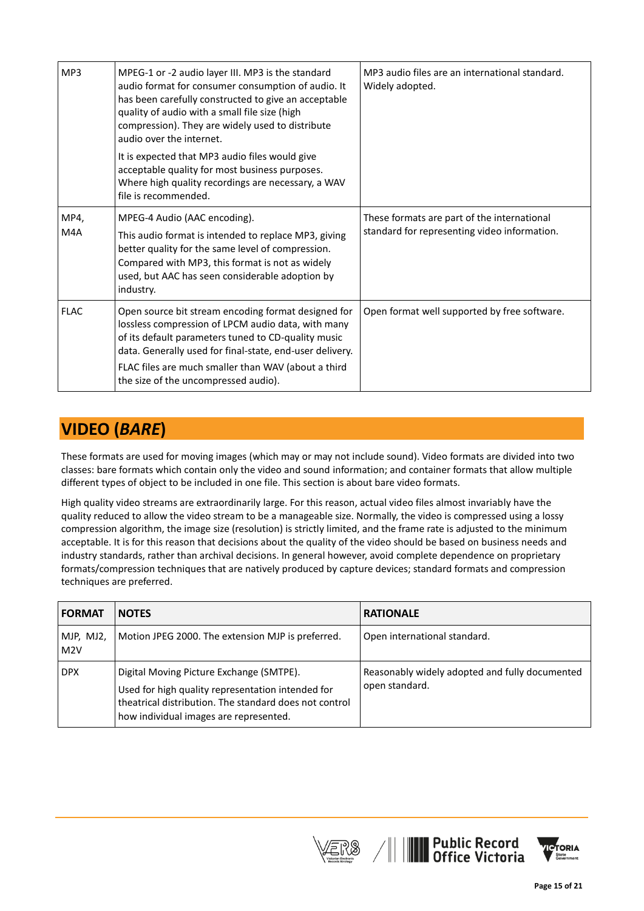| MP3         | MPEG-1 or -2 audio layer III. MP3 is the standard<br>audio format for consumer consumption of audio. It<br>has been carefully constructed to give an acceptable<br>quality of audio with a small file size (high<br>compression). They are widely used to distribute<br>audio over the internet.                            | MP3 audio files are an international standard.<br>Widely adopted.                           |
|-------------|-----------------------------------------------------------------------------------------------------------------------------------------------------------------------------------------------------------------------------------------------------------------------------------------------------------------------------|---------------------------------------------------------------------------------------------|
|             | It is expected that MP3 audio files would give<br>acceptable quality for most business purposes.<br>Where high quality recordings are necessary, a WAV<br>file is recommended.                                                                                                                                              |                                                                                             |
| MP4,<br>M4A | MPEG-4 Audio (AAC encoding).<br>This audio format is intended to replace MP3, giving<br>better quality for the same level of compression.<br>Compared with MP3, this format is not as widely<br>used, but AAC has seen considerable adoption by<br>industry.                                                                | These formats are part of the international<br>standard for representing video information. |
| <b>FLAC</b> | Open source bit stream encoding format designed for<br>lossless compression of LPCM audio data, with many<br>of its default parameters tuned to CD-quality music<br>data. Generally used for final-state, end-user delivery.<br>FLAC files are much smaller than WAV (about a third<br>the size of the uncompressed audio). | Open format well supported by free software.                                                |

## **VIDEO (***BARE***)**

These formats are used for moving images (which may or may not include sound). Video formats are divided into two classes: bare formats which contain only the video and sound information; and container formats that allow multiple different types of object to be included in one file. This section is about bare video formats.

High quality video streams are extraordinarily large. For this reason, actual video files almost invariably have the quality reduced to allow the video stream to be a manageable size. Normally, the video is compressed using a lossy compression algorithm, the image size (resolution) is strictly limited, and the frame rate is adjusted to the minimum acceptable. It is for this reason that decisions about the quality of the video should be based on business needs and industry standards, rather than archival decisions. In general however, avoid complete dependence on proprietary formats/compression techniques that are natively produced by capture devices; standard formats and compression techniques are preferred.

| <b>FORMAT</b>    | <b>NOTES</b>                                                                                                                                                                                      | <b>RATIONALE</b>                                                 |
|------------------|---------------------------------------------------------------------------------------------------------------------------------------------------------------------------------------------------|------------------------------------------------------------------|
| MJP, MJ2,<br>M2V | Motion JPEG 2000. The extension MJP is preferred.                                                                                                                                                 | Open international standard.                                     |
| <b>DPX</b>       | Digital Moving Picture Exchange (SMTPE).<br>Used for high quality representation intended for<br>theatrical distribution. The standard does not control<br>how individual images are represented. | Reasonably widely adopted and fully documented<br>open standard. |



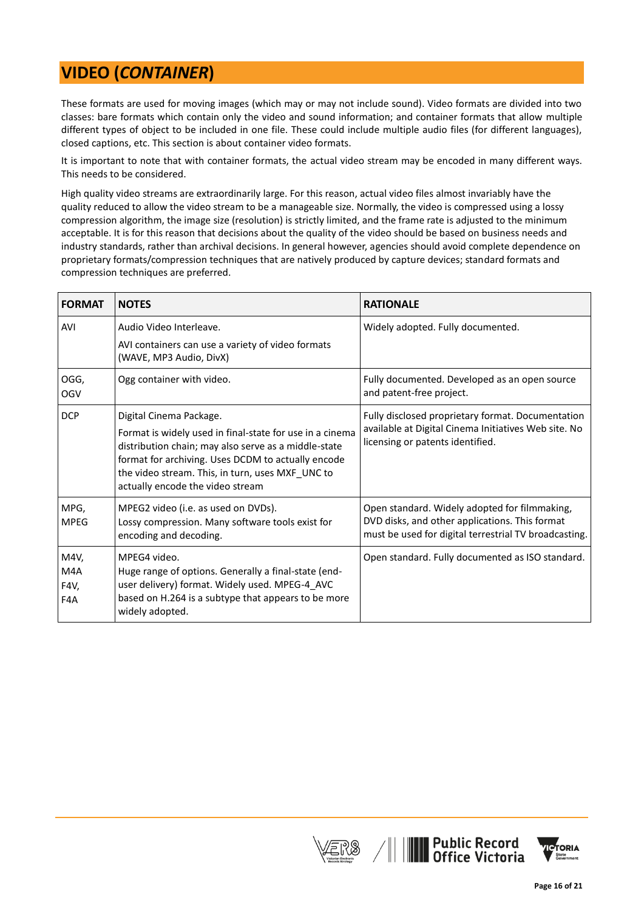## **VIDEO (***CONTAINER***)**

These formats are used for moving images (which may or may not include sound). Video formats are divided into two classes: bare formats which contain only the video and sound information; and container formats that allow multiple different types of object to be included in one file. These could include multiple audio files (for different languages), closed captions, etc. This section is about container video formats.

It is important to note that with container formats, the actual video stream may be encoded in many different ways. This needs to be considered.

High quality video streams are extraordinarily large. For this reason, actual video files almost invariably have the quality reduced to allow the video stream to be a manageable size. Normally, the video is compressed using a lossy compression algorithm, the image size (resolution) is strictly limited, and the frame rate is adjusted to the minimum acceptable. It is for this reason that decisions about the quality of the video should be based on business needs and industry standards, rather than archival decisions. In general however, agencies should avoid complete dependence on proprietary formats/compression techniques that are natively produced by capture devices; standard formats and compression techniques are preferred.

| <b>FORMAT</b>              | <b>NOTES</b>                                                                                                                                                                                                                                                                              | <b>RATIONALE</b>                                                                                                                                         |
|----------------------------|-------------------------------------------------------------------------------------------------------------------------------------------------------------------------------------------------------------------------------------------------------------------------------------------|----------------------------------------------------------------------------------------------------------------------------------------------------------|
| AVI                        | Audio Video Interleave.<br>AVI containers can use a variety of video formats<br>(WAVE, MP3 Audio, DivX)                                                                                                                                                                                   | Widely adopted. Fully documented.                                                                                                                        |
| OGG,<br>OGV                | Ogg container with video.                                                                                                                                                                                                                                                                 | Fully documented. Developed as an open source<br>and patent-free project.                                                                                |
| <b>DCP</b>                 | Digital Cinema Package.<br>Format is widely used in final-state for use in a cinema<br>distribution chain; may also serve as a middle-state<br>format for archiving. Uses DCDM to actually encode<br>the video stream. This, in turn, uses MXF_UNC to<br>actually encode the video stream | Fully disclosed proprietary format. Documentation<br>available at Digital Cinema Initiatives Web site. No<br>licensing or patents identified.            |
| MPG,<br><b>MPEG</b>        | MPEG2 video (i.e. as used on DVDs).<br>Lossy compression. Many software tools exist for<br>encoding and decoding.                                                                                                                                                                         | Open standard. Widely adopted for filmmaking,<br>DVD disks, and other applications. This format<br>must be used for digital terrestrial TV broadcasting. |
| M4V,<br>M4A<br>F4V,<br>F4A | MPEG4 video.<br>Huge range of options. Generally a final-state (end-<br>user delivery) format. Widely used. MPEG-4 AVC<br>based on H.264 is a subtype that appears to be more<br>widely adopted.                                                                                          | Open standard. Fully documented as ISO standard.                                                                                                         |



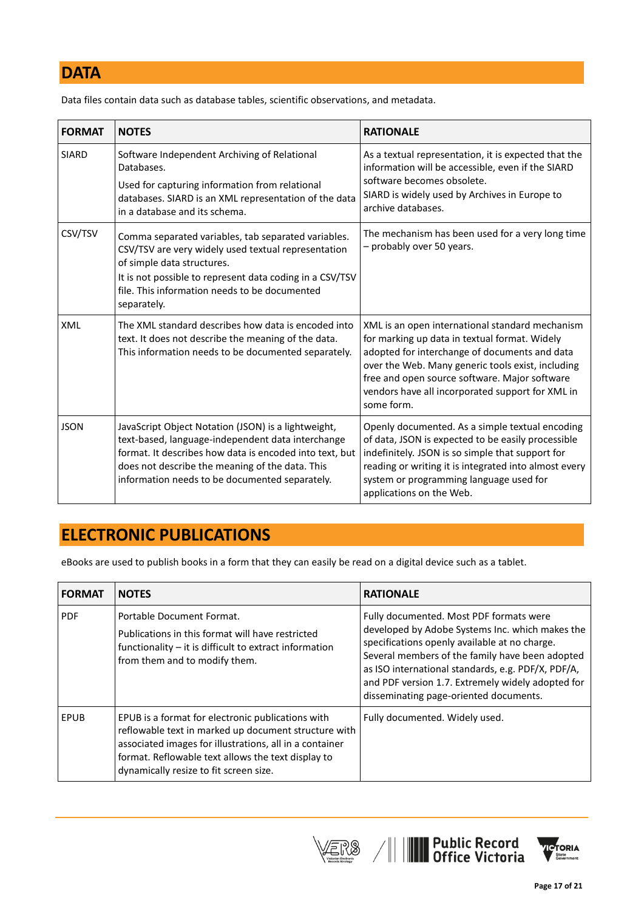#### **DATA**

Data files contain data such as database tables, scientific observations, and metadata.

| <b>FORMAT</b> | <b>NOTES</b>                                                                                                                                                                                                                                                             | <b>RATIONALE</b>                                                                                                                                                                                                                                                                                                          |
|---------------|--------------------------------------------------------------------------------------------------------------------------------------------------------------------------------------------------------------------------------------------------------------------------|---------------------------------------------------------------------------------------------------------------------------------------------------------------------------------------------------------------------------------------------------------------------------------------------------------------------------|
| <b>SIARD</b>  | Software Independent Archiving of Relational<br>Databases.<br>Used for capturing information from relational<br>databases. SIARD is an XML representation of the data<br>in a database and its schema.                                                                   | As a textual representation, it is expected that the<br>information will be accessible, even if the SIARD<br>software becomes obsolete.<br>SIARD is widely used by Archives in Europe to<br>archive databases.                                                                                                            |
| CSV/TSV       | Comma separated variables, tab separated variables.<br>CSV/TSV are very widely used textual representation<br>of simple data structures.<br>It is not possible to represent data coding in a CSV/TSV<br>file. This information needs to be documented<br>separately.     | The mechanism has been used for a very long time<br>- probably over 50 years.                                                                                                                                                                                                                                             |
| XML           | The XML standard describes how data is encoded into<br>text. It does not describe the meaning of the data.<br>This information needs to be documented separately.                                                                                                        | XML is an open international standard mechanism<br>for marking up data in textual format. Widely<br>adopted for interchange of documents and data<br>over the Web. Many generic tools exist, including<br>free and open source software. Major software<br>vendors have all incorporated support for XML in<br>some form. |
| <b>JSON</b>   | JavaScript Object Notation (JSON) is a lightweight,<br>text-based, language-independent data interchange<br>format. It describes how data is encoded into text, but<br>does not describe the meaning of the data. This<br>information needs to be documented separately. | Openly documented. As a simple textual encoding<br>of data, JSON is expected to be easily processible<br>indefinitely. JSON is so simple that support for<br>reading or writing it is integrated into almost every<br>system or programming language used for<br>applications on the Web.                                 |

### **ELECTRONIC PUBLICATIONS**

eBooks are used to publish books in a form that they can easily be read on a digital device such as a tablet.

| <b>FORMAT</b> | <b>NOTES</b>                                                                                                                                                                                                                                                         | <b>RATIONALE</b>                                                                                                                                                                                                                                                                                                                                    |
|---------------|----------------------------------------------------------------------------------------------------------------------------------------------------------------------------------------------------------------------------------------------------------------------|-----------------------------------------------------------------------------------------------------------------------------------------------------------------------------------------------------------------------------------------------------------------------------------------------------------------------------------------------------|
| <b>PDF</b>    | Portable Document Format.<br>Publications in this format will have restricted<br>functionality $-$ it is difficult to extract information<br>from them and to modify them.                                                                                           | Fully documented. Most PDF formats were<br>developed by Adobe Systems Inc. which makes the<br>specifications openly available at no charge.<br>Several members of the family have been adopted<br>as ISO international standards, e.g. PDF/X, PDF/A,<br>and PDF version 1.7. Extremely widely adopted for<br>disseminating page-oriented documents. |
| <b>EPUB</b>   | EPUB is a format for electronic publications with<br>reflowable text in marked up document structure with<br>associated images for illustrations, all in a container<br>format. Reflowable text allows the text display to<br>dynamically resize to fit screen size. | Fully documented. Widely used.                                                                                                                                                                                                                                                                                                                      |



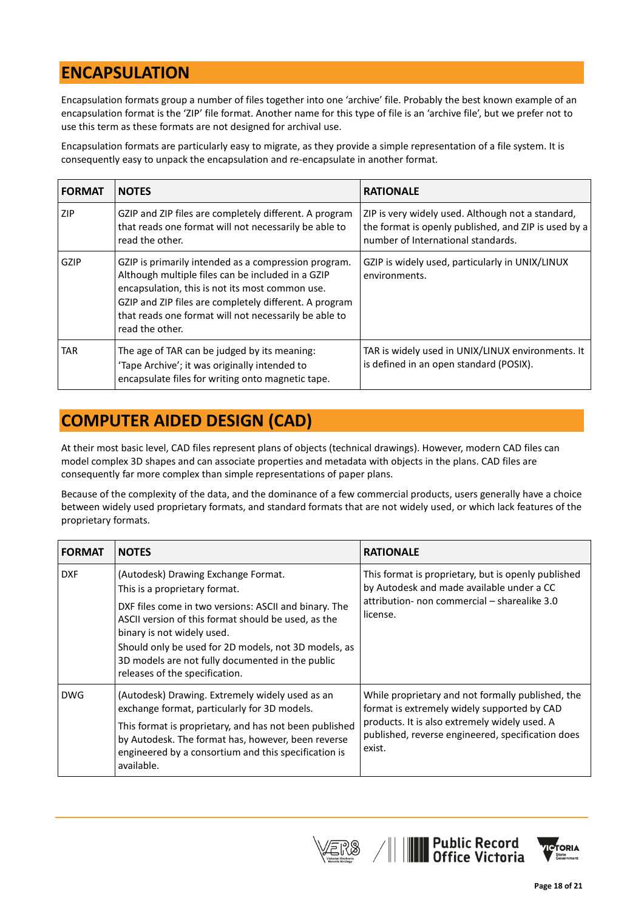#### **ENCAPSULATION**

Encapsulation formats group a number of files together into one 'archive' file. Probably the best known example of an encapsulation format is the 'ZIP' file format. Another name for this type of file is an 'archive file', but we prefer not to use this term as these formats are not designed for archival use.

Encapsulation formats are particularly easy to migrate, as they provide a simple representation of a file system. It is consequently easy to unpack the encapsulation and re-encapsulate in another format.

| <b>FORMAT</b> | <b>NOTES</b>                                                                                                                                                                                                                                                                                       | <b>RATIONALE</b>                                                                                                                                |
|---------------|----------------------------------------------------------------------------------------------------------------------------------------------------------------------------------------------------------------------------------------------------------------------------------------------------|-------------------------------------------------------------------------------------------------------------------------------------------------|
| ZIP           | GZIP and ZIP files are completely different. A program<br>that reads one format will not necessarily be able to<br>read the other.                                                                                                                                                                 | ZIP is very widely used. Although not a standard,<br>the format is openly published, and ZIP is used by a<br>number of International standards. |
| GZIP          | GZIP is primarily intended as a compression program.<br>Although multiple files can be included in a GZIP<br>encapsulation, this is not its most common use.<br>GZIP and ZIP files are completely different. A program<br>that reads one format will not necessarily be able to<br>read the other. | GZIP is widely used, particularly in UNIX/LINUX<br>environments.                                                                                |
| TAR           | The age of TAR can be judged by its meaning:<br>'Tape Archive'; it was originally intended to<br>encapsulate files for writing onto magnetic tape.                                                                                                                                                 | TAR is widely used in UNIX/LINUX environments. It<br>is defined in an open standard (POSIX).                                                    |

#### **COMPUTER AIDED DESIGN (CAD)**

At their most basic level, CAD files represent plans of objects (technical drawings). However, modern CAD files can model complex 3D shapes and can associate properties and metadata with objects in the plans. CAD files are consequently far more complex than simple representations of paper plans.

Because of the complexity of the data, and the dominance of a few commercial products, users generally have a choice between widely used proprietary formats, and standard formats that are not widely used, or which lack features of the proprietary formats.

| <b>FORMAT</b> | <b>NOTES</b>                                                                                                                                                                                                                                                                                                                                                     | <b>RATIONALE</b>                                                                                                                                                                                                 |
|---------------|------------------------------------------------------------------------------------------------------------------------------------------------------------------------------------------------------------------------------------------------------------------------------------------------------------------------------------------------------------------|------------------------------------------------------------------------------------------------------------------------------------------------------------------------------------------------------------------|
| <b>DXF</b>    | (Autodesk) Drawing Exchange Format.<br>This is a proprietary format.<br>DXF files come in two versions: ASCII and binary. The<br>ASCII version of this format should be used, as the<br>binary is not widely used.<br>Should only be used for 2D models, not 3D models, as<br>3D models are not fully documented in the public<br>releases of the specification. | This format is proprietary, but is openly published<br>by Autodesk and made available under a CC<br>attribution- non commercial – sharealike 3.0<br>license.                                                     |
| <b>DWG</b>    | (Autodesk) Drawing. Extremely widely used as an<br>exchange format, particularly for 3D models.<br>This format is proprietary, and has not been published<br>by Autodesk. The format has, however, been reverse<br>engineered by a consortium and this specification is<br>available.                                                                            | While proprietary and not formally published, the<br>format is extremely widely supported by CAD<br>products. It is also extremely widely used. A<br>published, reverse engineered, specification does<br>exist. |



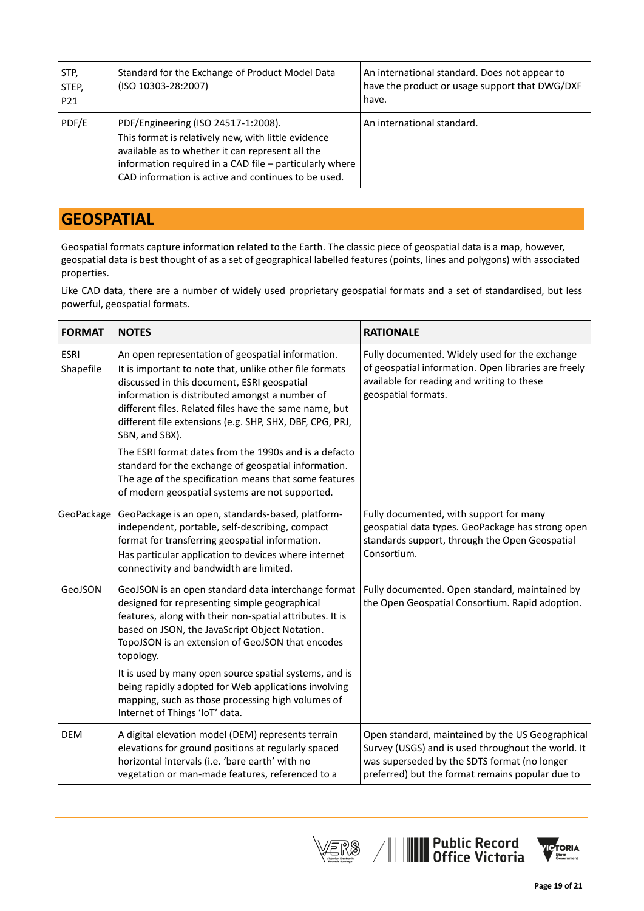| STP,<br>STEP,<br>P21 | Standard for the Exchange of Product Model Data<br>(ISO 10303-28:2007)                                                                                                                                                                                           | An international standard. Does not appear to<br>have the product or usage support that DWG/DXF<br>have. |
|----------------------|------------------------------------------------------------------------------------------------------------------------------------------------------------------------------------------------------------------------------------------------------------------|----------------------------------------------------------------------------------------------------------|
| PDF/E                | PDF/Engineering (ISO 24517-1:2008).<br>This format is relatively new, with little evidence<br>available as to whether it can represent all the<br>information required in a CAD file – particularly where<br>CAD information is active and continues to be used. | An international standard.                                                                               |

#### **GEOSPATIAL**

Geospatial formats capture information related to the Earth. The classic piece of geospatial data is a map, however, geospatial data is best thought of as a set of geographical labelled features (points, lines and polygons) with associated properties.

Like CAD data, there are a number of widely used proprietary geospatial formats and a set of standardised, but less powerful, geospatial formats.

| <b>FORMAT</b>            | <b>NOTES</b>                                                                                                                                                                                                                                                                                                                                                                                                                                                                                                                                                                       | <b>RATIONALE</b>                                                                                                                                                                                           |
|--------------------------|------------------------------------------------------------------------------------------------------------------------------------------------------------------------------------------------------------------------------------------------------------------------------------------------------------------------------------------------------------------------------------------------------------------------------------------------------------------------------------------------------------------------------------------------------------------------------------|------------------------------------------------------------------------------------------------------------------------------------------------------------------------------------------------------------|
| <b>ESRI</b><br>Shapefile | An open representation of geospatial information.<br>It is important to note that, unlike other file formats<br>discussed in this document, ESRI geospatial<br>information is distributed amongst a number of<br>different files. Related files have the same name, but<br>different file extensions (e.g. SHP, SHX, DBF, CPG, PRJ,<br>SBN, and SBX).<br>The ESRI format dates from the 1990s and is a defacto<br>standard for the exchange of geospatial information.<br>The age of the specification means that some features<br>of modern geospatial systems are not supported. | Fully documented. Widely used for the exchange<br>of geospatial information. Open libraries are freely<br>available for reading and writing to these<br>geospatial formats.                                |
| GeoPackage               | GeoPackage is an open, standards-based, platform-<br>independent, portable, self-describing, compact<br>format for transferring geospatial information.<br>Has particular application to devices where internet<br>connectivity and bandwidth are limited.                                                                                                                                                                                                                                                                                                                         | Fully documented, with support for many<br>geospatial data types. GeoPackage has strong open<br>standards support, through the Open Geospatial<br>Consortium.                                              |
| GeoJSON                  | GeoJSON is an open standard data interchange format<br>designed for representing simple geographical<br>features, along with their non-spatial attributes. It is<br>based on JSON, the JavaScript Object Notation.<br>TopoJSON is an extension of GeoJSON that encodes<br>topology.<br>It is used by many open source spatial systems, and is<br>being rapidly adopted for Web applications involving<br>mapping, such as those processing high volumes of<br>Internet of Things 'IoT' data.                                                                                       | Fully documented. Open standard, maintained by<br>the Open Geospatial Consortium. Rapid adoption.                                                                                                          |
| <b>DEM</b>               | A digital elevation model (DEM) represents terrain<br>elevations for ground positions at regularly spaced<br>horizontal intervals (i.e. 'bare earth' with no<br>vegetation or man-made features, referenced to a                                                                                                                                                                                                                                                                                                                                                                   | Open standard, maintained by the US Geographical<br>Survey (USGS) and is used throughout the world. It<br>was superseded by the SDTS format (no longer<br>preferred) but the format remains popular due to |





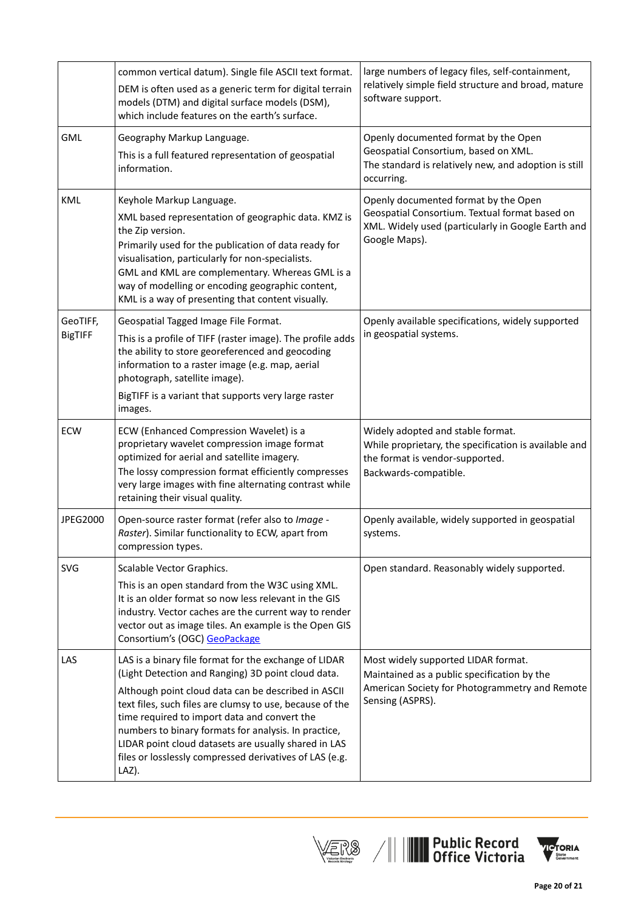|                            | common vertical datum). Single file ASCII text format.<br>DEM is often used as a generic term for digital terrain<br>models (DTM) and digital surface models (DSM),<br>which include features on the earth's surface.                                                                                                                                                                                                                                              | large numbers of legacy files, self-containment,<br>relatively simple field structure and broad, mature<br>software support.                                  |
|----------------------------|--------------------------------------------------------------------------------------------------------------------------------------------------------------------------------------------------------------------------------------------------------------------------------------------------------------------------------------------------------------------------------------------------------------------------------------------------------------------|---------------------------------------------------------------------------------------------------------------------------------------------------------------|
| GML                        | Geography Markup Language.<br>This is a full featured representation of geospatial<br>information.                                                                                                                                                                                                                                                                                                                                                                 | Openly documented format by the Open<br>Geospatial Consortium, based on XML.<br>The standard is relatively new, and adoption is still<br>occurring.           |
| KML                        | Keyhole Markup Language.<br>XML based representation of geographic data. KMZ is<br>the Zip version.<br>Primarily used for the publication of data ready for<br>visualisation, particularly for non-specialists.<br>GML and KML are complementary. Whereas GML is a<br>way of modelling or encoding geographic content,<br>KML is a way of presenting that content visually.                                                                                        | Openly documented format by the Open<br>Geospatial Consortium. Textual format based on<br>XML. Widely used (particularly in Google Earth and<br>Google Maps). |
| GeoTIFF,<br><b>BigTIFF</b> | Geospatial Tagged Image File Format.<br>This is a profile of TIFF (raster image). The profile adds<br>the ability to store georeferenced and geocoding<br>information to a raster image (e.g. map, aerial<br>photograph, satellite image).<br>BigTIFF is a variant that supports very large raster                                                                                                                                                                 | Openly available specifications, widely supported<br>in geospatial systems.                                                                                   |
|                            | images.                                                                                                                                                                                                                                                                                                                                                                                                                                                            |                                                                                                                                                               |
| ECW                        | ECW (Enhanced Compression Wavelet) is a<br>proprietary wavelet compression image format<br>optimized for aerial and satellite imagery.<br>The lossy compression format efficiently compresses<br>very large images with fine alternating contrast while<br>retaining their visual quality.                                                                                                                                                                         | Widely adopted and stable format.<br>While proprietary, the specification is available and<br>the format is vendor-supported.<br>Backwards-compatible.        |
| <b>JPEG2000</b>            | Open-source raster format (refer also to Image -<br>Raster). Similar functionality to ECW, apart from<br>compression types.                                                                                                                                                                                                                                                                                                                                        | Openly available, widely supported in geospatial<br>systems.                                                                                                  |
| <b>SVG</b>                 | Scalable Vector Graphics.<br>This is an open standard from the W3C using XML.<br>It is an older format so now less relevant in the GIS<br>industry. Vector caches are the current way to render<br>vector out as image tiles. An example is the Open GIS<br>Consortium's (OGC) GeoPackage                                                                                                                                                                          | Open standard. Reasonably widely supported.                                                                                                                   |
| <b>LAS</b>                 | LAS is a binary file format for the exchange of LIDAR<br>(Light Detection and Ranging) 3D point cloud data.<br>Although point cloud data can be described in ASCII<br>text files, such files are clumsy to use, because of the<br>time required to import data and convert the<br>numbers to binary formats for analysis. In practice,<br>LIDAR point cloud datasets are usually shared in LAS<br>files or losslessly compressed derivatives of LAS (e.g.<br>LAZ). | Most widely supported LIDAR format.<br>Maintained as a public specification by the<br>American Society for Photogrammetry and Remote<br>Sensing (ASPRS).      |